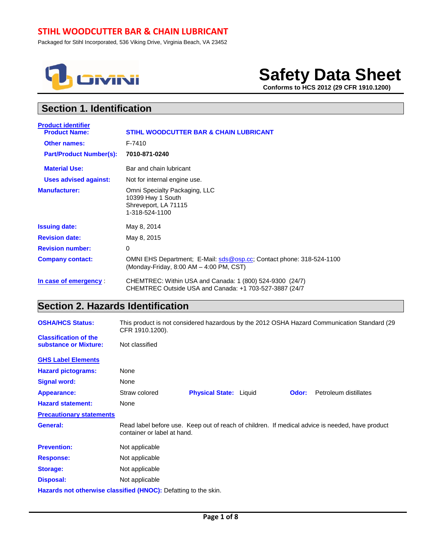## **STIHL WOODCUTTER BAR & CHAIN LUBRICANT**

Packaged for Stihl Incorporated, 536 Viking Drive, Virginia Beach, VA 23452



# **Safety Data Sheet**

 **Conforms to HCS 2012 (29 CFR 1910.1200)**

## **Section 1. Identification**

| <b>Product identifier</b>      |                                                                                                                     |
|--------------------------------|---------------------------------------------------------------------------------------------------------------------|
| <b>Product Name:</b>           | <b>STIHL WOODCUTTER BAR &amp; CHAIN LUBRICANT</b>                                                                   |
| <b>Other names:</b>            | F-7410                                                                                                              |
| <b>Part/Product Number(s):</b> | 7010-871-0240                                                                                                       |
| <b>Material Use:</b>           | Bar and chain lubricant                                                                                             |
| <b>Uses advised against:</b>   | Not for internal engine use.                                                                                        |
| <b>Manufacturer:</b>           | Omni Specialty Packaging, LLC<br>10399 Hwy 1 South<br>Shreveport, LA 71115<br>1-318-524-1100                        |
| <b>Issuing date:</b>           | May 8, 2014                                                                                                         |
| <b>Revision date:</b>          | May 8, 2015                                                                                                         |
| <b>Revision number:</b>        | 0                                                                                                                   |
| <b>Company contact:</b>        | OMNI EHS Department; E-Mail: sds@osp.cc; Contact phone: 318-524-1100<br>(Monday-Friday, 8:00 AM - 4:00 PM, CST)     |
| In case of emergency           | CHEMTREC: Within USA and Canada: 1 (800) 524-9300 (24/7)<br>CHEMTREC Outside USA and Canada: +1 703-527-3887 (24/7) |

## **Section 2. Hazards Identification**

| <b>OSHA/HCS Status:</b>                                         | This product is not considered hazardous by the 2012 OSHA Hazard Communication Standard (29<br>CFR 1910.1200). |                               |  |       |                                                                                                 |
|-----------------------------------------------------------------|----------------------------------------------------------------------------------------------------------------|-------------------------------|--|-------|-------------------------------------------------------------------------------------------------|
| <b>Classification of the</b><br>substance or Mixture:           | Not classified                                                                                                 |                               |  |       |                                                                                                 |
| <b>GHS Label Elements</b>                                       |                                                                                                                |                               |  |       |                                                                                                 |
| <b>Hazard pictograms:</b>                                       | None                                                                                                           |                               |  |       |                                                                                                 |
| <b>Signal word:</b>                                             | None                                                                                                           |                               |  |       |                                                                                                 |
| <b>Appearance:</b>                                              | Straw colored                                                                                                  | <b>Physical State: Liquid</b> |  | Odor: | Petroleum distillates                                                                           |
| <b>Hazard statement:</b>                                        | None                                                                                                           |                               |  |       |                                                                                                 |
| <b>Precautionary statements</b>                                 |                                                                                                                |                               |  |       |                                                                                                 |
| General:                                                        | container or label at hand.                                                                                    |                               |  |       | Read label before use. Keep out of reach of children. If medical advice is needed, have product |
| <b>Prevention:</b>                                              | Not applicable                                                                                                 |                               |  |       |                                                                                                 |
| <b>Response:</b>                                                | Not applicable                                                                                                 |                               |  |       |                                                                                                 |
| <b>Storage:</b>                                                 | Not applicable                                                                                                 |                               |  |       |                                                                                                 |
| <b>Disposal:</b>                                                | Not applicable                                                                                                 |                               |  |       |                                                                                                 |
| Hazards not otherwise classified (HNOC): Defatting to the skin. |                                                                                                                |                               |  |       |                                                                                                 |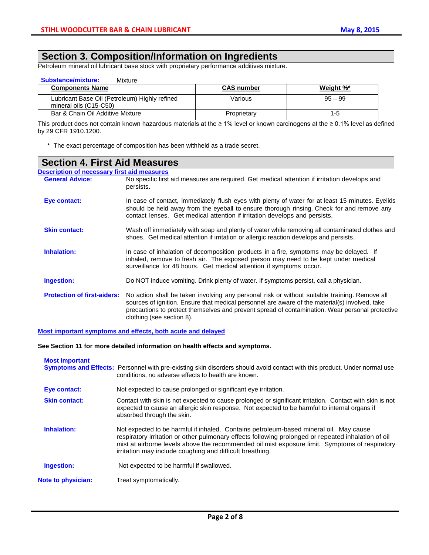## **Section 3. Composition/Information on Ingredients**

Petroleum mineral oil lubricant base stock with proprietary performance additives mixture.

| <b>Substance/mixture:</b><br>Mixture                                    |                   |           |
|-------------------------------------------------------------------------|-------------------|-----------|
| <b>Components Name</b>                                                  | <b>CAS number</b> | Weight %* |
| Lubricant Base Oil (Petroleum) Highly refined<br>mineral oils (C15-C50) | Various           | $95 - 99$ |
| Bar & Chain Oil Additive Mixture                                        | Proprietary       | $1 - 5$   |

This product does not contain known hazardous materials at the ≥ 1% level or known carcinogens at the ≥ 0.1% level as defined by 29 CFR 1910.1200.

\* The exact percentage of composition has been withheld as a trade secret.

| <b>Section 4. First Aid Measures</b>               |                                                                                                                                                                                                                                                                                                                                 |  |  |  |
|----------------------------------------------------|---------------------------------------------------------------------------------------------------------------------------------------------------------------------------------------------------------------------------------------------------------------------------------------------------------------------------------|--|--|--|
| <b>Description of necessary first aid measures</b> |                                                                                                                                                                                                                                                                                                                                 |  |  |  |
| <b>General Advice:</b>                             | No specific first aid measures are required. Get medical attention if irritation develops and<br>persists.                                                                                                                                                                                                                      |  |  |  |
| Eye contact:                                       | In case of contact, immediately flush eyes with plenty of water for at least 15 minutes. Eyelids<br>should be held away from the eyeball to ensure thorough rinsing. Check for and remove any<br>contact lenses. Get medical attention if irritation develops and persists.                                                     |  |  |  |
| <b>Skin contact:</b>                               | Wash off immediately with soap and plenty of water while removing all contaminated clothes and<br>shoes. Get medical attention if irritation or allergic reaction develops and persists.                                                                                                                                        |  |  |  |
| Inhalation:                                        | In case of inhalation of decomposition products in a fire, symptoms may be delayed. If<br>inhaled, remove to fresh air. The exposed person may need to be kept under medical<br>surveillance for 48 hours. Get medical attention if symptoms occur.                                                                             |  |  |  |
| Ingestion:                                         | Do NOT induce vomiting. Drink plenty of water. If symptoms persist, call a physician.                                                                                                                                                                                                                                           |  |  |  |
| <b>Protection of first-aiders:</b>                 | No action shall be taken involving any personal risk or without suitable training. Remove all<br>sources of ignition. Ensure that medical personnel are aware of the material(s) involved, take<br>precautions to protect themselves and prevent spread of contamination. Wear personal protective<br>clothing (see section 8). |  |  |  |

### **Most important symptoms and effects, both acute and delayed**

**See Section 11 for more detailed information on health effects and symptoms.**

| <b>Most Important</b>     | <b>Symptoms and Effects:</b> Personnel with pre-existing skin disorders should avoid contact with this product. Under normal use<br>conditions, no adverse effects to health are known.                                                                                                                                                                     |
|---------------------------|-------------------------------------------------------------------------------------------------------------------------------------------------------------------------------------------------------------------------------------------------------------------------------------------------------------------------------------------------------------|
| Eye contact:              | Not expected to cause prolonged or significant eye irritation.                                                                                                                                                                                                                                                                                              |
| <b>Skin contact:</b>      | Contact with skin is not expected to cause prolonged or significant irritation. Contact with skin is not<br>expected to cause an allergic skin response. Not expected to be harmful to internal organs if<br>absorbed through the skin.                                                                                                                     |
| Inhalation:               | Not expected to be harmful if inhaled. Contains petroleum-based mineral oil. May cause<br>respiratory irritation or other pulmonary effects following prolonged or repeated inhalation of oil<br>mist at airborne levels above the recommended oil mist exposure limit. Symptoms of respiratory<br>irritation may include coughing and difficult breathing. |
| Ingestion:                | Not expected to be harmful if swallowed.                                                                                                                                                                                                                                                                                                                    |
| <b>Note to physician:</b> | Treat symptomatically.                                                                                                                                                                                                                                                                                                                                      |
|                           |                                                                                                                                                                                                                                                                                                                                                             |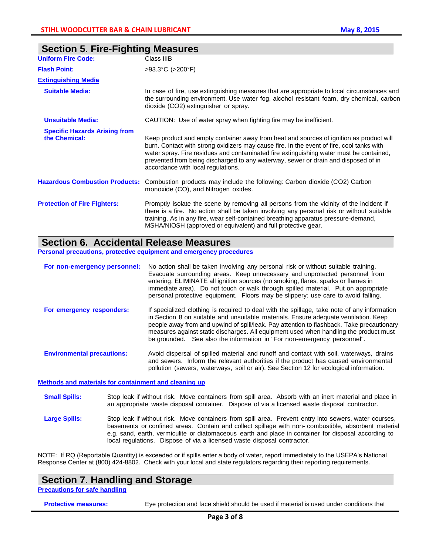| <b>Uniform Fire Code:</b>                             | Class IIIB                                                                                                                                                                                                                                                                                                                                                                                                  |  |  |
|-------------------------------------------------------|-------------------------------------------------------------------------------------------------------------------------------------------------------------------------------------------------------------------------------------------------------------------------------------------------------------------------------------------------------------------------------------------------------------|--|--|
| <b>Flash Point:</b>                                   | $>93.3^{\circ}C$ ( $>200^{\circ}F$ )                                                                                                                                                                                                                                                                                                                                                                        |  |  |
| <b>Extinguishing Media</b>                            |                                                                                                                                                                                                                                                                                                                                                                                                             |  |  |
| <b>Suitable Media:</b>                                | In case of fire, use extinguishing measures that are appropriate to local circumstances and<br>the surrounding environment. Use water fog, alcohol resistant foam, dry chemical, carbon<br>dioxide (CO2) extinguisher or spray.                                                                                                                                                                             |  |  |
| <b>Unsuitable Media:</b>                              | CAUTION: Use of water spray when fighting fire may be inefficient.                                                                                                                                                                                                                                                                                                                                          |  |  |
| <b>Specific Hazards Arising from</b><br>the Chemical: | Keep product and empty container away from heat and sources of ignition as product will<br>burn. Contact with strong oxidizers may cause fire. In the event of fire, cool tanks with<br>water spray. Fire residues and contaminated fire extinguishing water must be contained,<br>prevented from being discharged to any waterway, sewer or drain and disposed of in<br>accordance with local regulations. |  |  |
| <b>Hazardous Combustion Products:</b>                 | Combustion products may include the following: Carbon dioxide (CO2) Carbon<br>monoxide (CO), and Nitrogen oxides.                                                                                                                                                                                                                                                                                           |  |  |
| <b>Protection of Fire Fighters:</b>                   | Promptly isolate the scene by removing all persons from the vicinity of the incident if<br>there is a fire. No action shall be taken involving any personal risk or without suitable<br>training. As in any fire, wear self-contained breathing apparatus pressure-demand,<br>MSHA/NIOSH (approved or equivalent) and full protective gear.                                                                 |  |  |

## **Section 5. Fire-Fighting Measures**

## **Section 6. Accidental Release Measures**

**Personal precautions, protective equipment and emergency procedures**

| For non-emergency personnel:      | No action shall be taken involving any personal risk or without suitable training.<br>Evacuate surrounding areas. Keep unnecessary and unprotected personnel from<br>entering. ELIMINATE all ignition sources (no smoking, flares, sparks or flames in<br>immediate area). Do not touch or walk through spilled material. Put on appropriate<br>personal protective equipment. Floors may be slippery; use care to avoid falling.                    |
|-----------------------------------|------------------------------------------------------------------------------------------------------------------------------------------------------------------------------------------------------------------------------------------------------------------------------------------------------------------------------------------------------------------------------------------------------------------------------------------------------|
| For emergency responders:         | If specialized clothing is required to deal with the spillage, take note of any information<br>in Section 8 on suitable and unsuitable materials. Ensure adequate ventilation. Keep<br>people away from and upwind of spill/leak. Pay attention to flashback. Take precautionary<br>measures against static discharges. All equipment used when handling the product must<br>be grounded. See also the information in "For non-emergency personnel". |
| <b>Environmental precautions:</b> | Avoid dispersal of spilled material and runoff and contact with soil, waterways, drains<br>and sewers. Inform the relevant authorities if the product has caused environmental<br>pollution (sewers, waterways, soil or air). See Section 12 for ecological information.                                                                                                                                                                             |

### **Methods and materials for containment and cleaning up**

- **Small Spills:** Stop leak if without risk. Move containers from spill area. Absorb with an inert material and place in an appropriate waste disposal container. Dispose of via a licensed waste disposal contractor.
- Large Spills: Stop leak if without risk. Move containers from spill area. Prevent entry into sewers, water courses, basements or confined areas. Contain and collect spillage with non- combustible, absorbent material e.g. sand, earth, vermiculite or diatomaceous earth and place in container for disposal according to local regulations. Dispose of via a licensed waste disposal contractor.

NOTE: If RQ (Reportable Quantity) is exceeded or if spills enter a body of water, report immediately to the USEPA's National Response Center at (800) 424-8802. Check with your local and state regulators regarding their reporting requirements.

### **Section 7. Handling and Storage**

**Precautions for safe handling**

**Protective measures:** Eye protection and face shield should be used if material is used under conditions that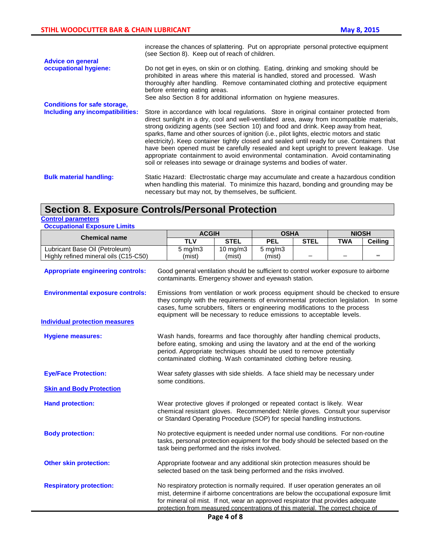|                                     | increase the chances of splattering. Put on appropriate personal protective equipment<br>(see Section 8). Keep out of reach of children.                                                                                                                                                                                                                                                                                                                                                                                                                                                                                                                                                                                      |
|-------------------------------------|-------------------------------------------------------------------------------------------------------------------------------------------------------------------------------------------------------------------------------------------------------------------------------------------------------------------------------------------------------------------------------------------------------------------------------------------------------------------------------------------------------------------------------------------------------------------------------------------------------------------------------------------------------------------------------------------------------------------------------|
| <b>Advice on general</b>            |                                                                                                                                                                                                                                                                                                                                                                                                                                                                                                                                                                                                                                                                                                                               |
| occupational hygiene:               | Do not get in eyes, on skin or on clothing. Eating, drinking and smoking should be<br>prohibited in areas where this material is handled, stored and processed. Wash<br>thoroughly after handling. Remove contaminated clothing and protective equipment<br>before entering eating areas.<br>See also Section 8 for additional information on hygiene measures.                                                                                                                                                                                                                                                                                                                                                               |
| <b>Conditions for safe storage,</b> |                                                                                                                                                                                                                                                                                                                                                                                                                                                                                                                                                                                                                                                                                                                               |
| Including any incompatibilities:    | Store in accordance with local regulations. Store in original container protected from<br>direct sunlight in a dry, cool and well-ventilated area, away from incompatible materials,<br>strong oxidizing agents (see Section 10) and food and drink. Keep away from heat,<br>sparks, flame and other sources of ignition (i.e., pilot lights, electric motors and static<br>electricity). Keep container tightly closed and sealed until ready for use. Containers that<br>have been opened must be carefully resealed and kept upright to prevent leakage. Use<br>appropriate containment to avoid environmental contamination. Avoid contaminating<br>soil or releases into sewage or drainage systems and bodies of water. |
| <b>Bulk material handling:</b>      | Static Hazard: Electrostatic charge may accumulate and create a hazardous condition<br>when handling this material. To minimize this hazard, bonding and grounding may be<br>necessary but may not, by themselves, be sufficient.                                                                                                                                                                                                                                                                                                                                                                                                                                                                                             |

## **Section 8. Exposure Controls/Personal Protection**

### **Control parameters**

| <b>Occupational Exposure Limits</b> |  |  |
|-------------------------------------|--|--|
|-------------------------------------|--|--|

| <b>Chemical name</b>                     |                                                                                                                                                                                                                                                                                                                                                   | <b>ACGIH</b>                                                                                                                                                                                                                                                                                                                  |                   | <b>OSHA</b>                                                                                                                                 |             | <b>NIOSH</b> |                |
|------------------------------------------|---------------------------------------------------------------------------------------------------------------------------------------------------------------------------------------------------------------------------------------------------------------------------------------------------------------------------------------------------|-------------------------------------------------------------------------------------------------------------------------------------------------------------------------------------------------------------------------------------------------------------------------------------------------------------------------------|-------------------|---------------------------------------------------------------------------------------------------------------------------------------------|-------------|--------------|----------------|
|                                          |                                                                                                                                                                                                                                                                                                                                                   | <b>TLV</b>                                                                                                                                                                                                                                                                                                                    | <b>STEL</b>       | <b>PEL</b>                                                                                                                                  | <b>STEL</b> | <b>TWA</b>   | <b>Ceiling</b> |
| Lubricant Base Oil (Petroleum)           |                                                                                                                                                                                                                                                                                                                                                   | $5 \text{ mg/m}$ 3                                                                                                                                                                                                                                                                                                            | $10 \text{ mg/m}$ | $5 \text{ mg/m}$                                                                                                                            |             |              |                |
| Highly refined mineral oils (C15-C50)    |                                                                                                                                                                                                                                                                                                                                                   | (mist)                                                                                                                                                                                                                                                                                                                        | (mist)            | (mist)                                                                                                                                      |             |              |                |
| <b>Appropriate engineering controls:</b> |                                                                                                                                                                                                                                                                                                                                                   |                                                                                                                                                                                                                                                                                                                               |                   | Good general ventilation should be sufficient to control worker exposure to airborne<br>contaminants. Emergency shower and eyewash station. |             |              |                |
| <b>Environmental exposure controls:</b>  |                                                                                                                                                                                                                                                                                                                                                   | Emissions from ventilation or work process equipment should be checked to ensure<br>they comply with the requirements of environmental protection legislation. In some<br>cases, fume scrubbers, filters or engineering modifications to the process<br>equipment will be necessary to reduce emissions to acceptable levels. |                   |                                                                                                                                             |             |              |                |
| <b>Individual protection measures</b>    |                                                                                                                                                                                                                                                                                                                                                   |                                                                                                                                                                                                                                                                                                                               |                   |                                                                                                                                             |             |              |                |
| <b>Hygiene measures:</b>                 | Wash hands, forearms and face thoroughly after handling chemical products,<br>before eating, smoking and using the lavatory and at the end of the working<br>period. Appropriate techniques should be used to remove potentially<br>contaminated clothing. Wash contaminated clothing before reusing.                                             |                                                                                                                                                                                                                                                                                                                               |                   |                                                                                                                                             |             |              |                |
| <b>Eye/Face Protection:</b>              |                                                                                                                                                                                                                                                                                                                                                   | Wear safety glasses with side shields. A face shield may be necessary under<br>some conditions.                                                                                                                                                                                                                               |                   |                                                                                                                                             |             |              |                |
| <b>Skin and Body Protection</b>          |                                                                                                                                                                                                                                                                                                                                                   |                                                                                                                                                                                                                                                                                                                               |                   |                                                                                                                                             |             |              |                |
| <b>Hand protection:</b>                  |                                                                                                                                                                                                                                                                                                                                                   | Wear protective gloves if prolonged or repeated contact is likely. Wear<br>chemical resistant gloves. Recommended: Nitrile gloves. Consult your supervisor<br>or Standard Operating Procedure (SOP) for special handling instructions.                                                                                        |                   |                                                                                                                                             |             |              |                |
| <b>Body protection:</b>                  |                                                                                                                                                                                                                                                                                                                                                   | No protective equipment is needed under normal use conditions. For non-routine<br>tasks, personal protection equipment for the body should be selected based on the<br>task being performed and the risks involved.                                                                                                           |                   |                                                                                                                                             |             |              |                |
| <b>Other skin protection:</b>            |                                                                                                                                                                                                                                                                                                                                                   | Appropriate footwear and any additional skin protection measures should be<br>selected based on the task being performed and the risks involved.                                                                                                                                                                              |                   |                                                                                                                                             |             |              |                |
| <b>Respiratory protection:</b>           | No respiratory protection is normally required. If user operation generates an oil<br>mist, determine if airborne concentrations are below the occupational exposure limit<br>for mineral oil mist. If not, wear an approved respirator that provides adequate<br>protection from measured concentrations of this material. The correct choice of |                                                                                                                                                                                                                                                                                                                               |                   |                                                                                                                                             |             |              |                |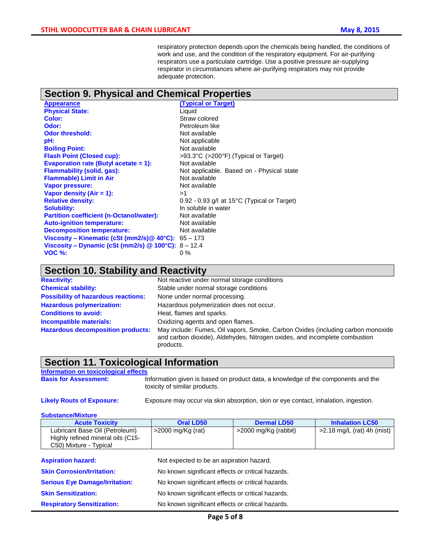respiratory protection depends upon the chemicals being handled, the conditions of work and use, and the condition of the respiratory equipment. For air-purifying respirators use a particulate cartridge. Use a positive pressure air-supplying respirator in circumstances where air-purifying respirators may not provide adequate protection.

## **Section 9. Physical and Chemical Properties**

| <b>Appearance</b>                               | (Ty)       |
|-------------------------------------------------|------------|
| <b>Physical State:</b>                          | Liqu       |
| Color:                                          | Stra       |
| Odor:                                           | Petr       |
| <b>Odor threshold:</b>                          | <b>Not</b> |
| pH:                                             | <b>Not</b> |
| <b>Boiling Point:</b>                           | <b>Not</b> |
| <b>Flash Point (Closed cup):</b>                | >93        |
| <b>Evaporation rate (Butyl acetate = 1):</b>    | Not        |
| <b>Flammability (solid, gas):</b>               | <b>Not</b> |
| <b>Flammable) Limit in Air</b>                  | <b>Not</b> |
| <b>Vapor pressure:</b>                          | <b>Not</b> |
| Vapor density $(Air = 1)$ :                     | >1         |
| <b>Relative density:</b>                        | 0.92       |
| <b>Solubility:</b>                              | In s       |
| <b>Partition coefficient (n-Octanol/water):</b> | <b>Not</b> |
| <b>Auto-ignition temperature:</b>               | <b>Not</b> |
| <b>Decomposition temperature:</b>               | <b>Not</b> |
| Viscosity - Kinematic (cSt (mm2/s)@ 40°C):      | $65 -$     |
| Viscosity – Dynamic (cSt (mm2/s) $@$ 100°C):    | $8 -$      |
| <b>VOC %:</b>                                   | $0\%$      |
|                                                 |            |

**(Typical or Target)** Liquid Straw colored **Odor:** Petroleum like **Not available** Not applicable **Not available Flash Point (Closed cup):** >93.3°C (>200°F) (Typical or Target) **Not available** Not applicable. Based on - Physical state **Not available Not available** 0.92 - 0.93 g/l at 15°C (Typical or Target) In soluble in water **Not available Not available Not available**  $\frac{1}{16}$  65 – 173 **8** – **12.4** 

## **Section 10. Stability and Reactivity**

| <b>Reactivity:</b>                         | Not reactive under normal storage conditions                                                                                                                               |  |  |  |
|--------------------------------------------|----------------------------------------------------------------------------------------------------------------------------------------------------------------------------|--|--|--|
| <b>Chemical stability:</b>                 | Stable under normal storage conditions                                                                                                                                     |  |  |  |
| <b>Possibility of hazardous reactions:</b> | None under normal processing.                                                                                                                                              |  |  |  |
| <b>Hazardous polymerization:</b>           | Hazardous polymerization does not occur.                                                                                                                                   |  |  |  |
| <b>Conditions to avoid:</b>                | Heat, flames and sparks.                                                                                                                                                   |  |  |  |
| Incompatible materials:                    | Oxidizing agents and open flames.                                                                                                                                          |  |  |  |
| <b>Hazardous decomposition products:</b>   | May include: Fumes, Oil vapors, Smoke, Carbon Oxides (including carbon monoxide<br>and carbon dioxide), Aldehydes, Nitrogen oxides, and incomplete combustion<br>products. |  |  |  |

### **Section 11. Toxicological Information**

### **Information on toxicological effects**

**Basis for Assessment:** Information given is based on product data, a knowledge of the components and the toxicity of similar products.

**Likely Routs of Exposure:** Exposure may occur via skin absorption, skin or eye contact, inhalation, ingestion.

### **Substance/Mixture**

| <b>Acute Toxicity</b>                 | <b>Oral LD50</b>                                  | <b>Dermal LD50</b>   | <b>Inhalation LC50</b>       |
|---------------------------------------|---------------------------------------------------|----------------------|------------------------------|
| Lubricant Base Oil (Petroleum)        | $>$ 2000 mg/Kg (rat)                              | >2000 mg/Kg (rabbit) | $>2.18$ mg/L (rat) 4h (mist) |
| Highly refined mineral oils (C15-     |                                                   |                      |                              |
| C50) Mixture - Typical                |                                                   |                      |                              |
|                                       |                                                   |                      |                              |
| <b>Aspiration hazard:</b>             | Not expected to be an aspiration hazard.          |                      |                              |
| <b>Skin Corrosion/Irritation:</b>     | No known significant effects or critical hazards. |                      |                              |
| <b>Serious Eye Damage/Irritation:</b> | No known significant effects or critical hazards. |                      |                              |
| <b>Skin Sensitization:</b>            | No known significant effects or critical hazards. |                      |                              |
| <b>Respiratory Sensitization:</b>     | No known significant effects or critical hazards. |                      |                              |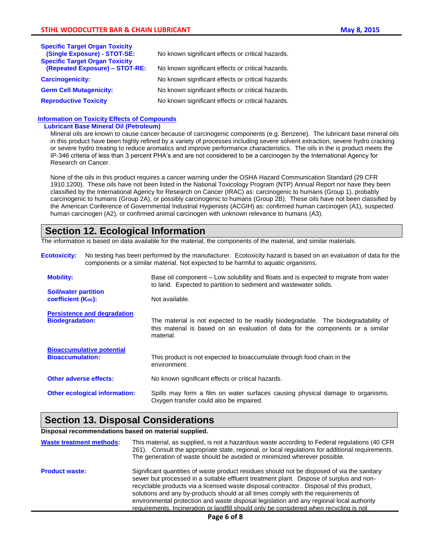| <b>Specific Target Organ Toxicity</b><br>(Single Exposure) - STOT-SE:   | No known significant effects or critical hazards. |
|-------------------------------------------------------------------------|---------------------------------------------------|
| <b>Specific Target Organ Toxicity</b><br>(Repeated Exposure) - STOT-RE: | No known significant effects or critical hazards. |
| <b>Carcinogenicity:</b>                                                 | No known significant effects or critical hazards. |
| <b>Germ Cell Mutagenicity:</b>                                          | No known significant effects or critical hazards. |
| <b>Reproductive Toxicity</b>                                            | No known significant effects or critical hazards. |

### **Information on Toxicity Effects of Compounds**

### **Lubricant Base Mineral Oil (Petroleum)**

Mineral oils are known to cause cancer because of carcinogenic components (e.g. Benzene). The lubricant base mineral oils in this product have been highly refined by a variety of processes including severe solvent extraction, severe hydro cracking or severe hydro treating to reduce aromatics and improve performance characteristics. The oils in the is product meets the IP-346 criteria of less than 3 percent PHA's and are not considered to be a carcinogen by the International Agency for Research on Cancer.

None of the oils in this product requires a cancer warning under the OSHA Hazard Communication Standard (29 CFR 1910.1200). These oils have not been listed in the National Toxicology Program (NTP) Annual Report nor have they been classified by the International Agency for Research on Cancer (IRAC) as: carcinogenic to humans (Group 1), probably carcinogenic to humans (Group 2A), or possibly carcinogenic to humans (Group 2B). These oils have not been classified by the American Conference of Governmental Industrial Hygienists (ACGIH) as: confirmed human carcinogen (A1), suspected human carcinogen (A2), or confirmed animal carcinogen with unknown relevance to humans (A3).

## **Section 12. Ecological Information**

The information is based on data available for the material, the components of the material, and similar materials.

| <b>Ecotoxicity:</b>     |                                                                                                                                                                   | No testing has been performed by the manufacturer. Ecotoxicity hazard is based on an evaluation of data for the<br>components or a similar material. Not expected to be harmful to aquatic organisms. |  |  |
|-------------------------|-------------------------------------------------------------------------------------------------------------------------------------------------------------------|-------------------------------------------------------------------------------------------------------------------------------------------------------------------------------------------------------|--|--|
| <b>Mobility:</b>        |                                                                                                                                                                   | Base oil component - Low solubility and floats and is expected to migrate from water<br>to land. Expected to partition to sediment and wastewater solids.                                             |  |  |
|                         | <b>Soil/water partition</b><br>Not available.<br><b>coefficient (Koc):</b>                                                                                        |                                                                                                                                                                                                       |  |  |
| <b>Biodegradation:</b>  | <b>Persistence and degradation</b>                                                                                                                                | The material is not expected to be readily biodegradable. The biodegradability of<br>this material is based on an evaluation of data for the components or a similar<br>material.                     |  |  |
| <b>Bioaccumulation:</b> | <b>Bioaccumulative potential</b>                                                                                                                                  | This product is not expected to bioaccumulate through food chain in the<br>environment.                                                                                                               |  |  |
| Other adverse effects:  |                                                                                                                                                                   | No known significant effects or critical hazards.                                                                                                                                                     |  |  |
|                         | Spills may form a film on water surfaces causing physical damage to organisms.<br><b>Other ecological information:</b><br>Oxygen transfer could also be impaired. |                                                                                                                                                                                                       |  |  |

## **Section 13. Disposal Considerations**

### **Disposal recommendations based on material supplied.**

| <b>Waste treatment methods:</b> | This material, as supplied, is not a hazardous waste according to Federal regulations (40 CFR<br>261). Consult the appropriate state, regional, or local regulations for additional requirements.<br>The generation of waste should be avoided or minimized wherever possible.                                                                                                                                                                                                                                                                               |
|---------------------------------|--------------------------------------------------------------------------------------------------------------------------------------------------------------------------------------------------------------------------------------------------------------------------------------------------------------------------------------------------------------------------------------------------------------------------------------------------------------------------------------------------------------------------------------------------------------|
| <b>Product waste:</b>           | Significant quantities of waste product residues should not be disposed of via the sanitary<br>sewer but processed in a suitable effluent treatment plant. Dispose of surplus and non-<br>recyclable products via a licensed waste disposal contractor. Disposal of this product,<br>solutions and any by-products should at all times comply with the requirements of<br>environmental protection and waste disposal legislation and any regional local authority<br>requirements. Incineration or landfill should only be considered when recycling is not |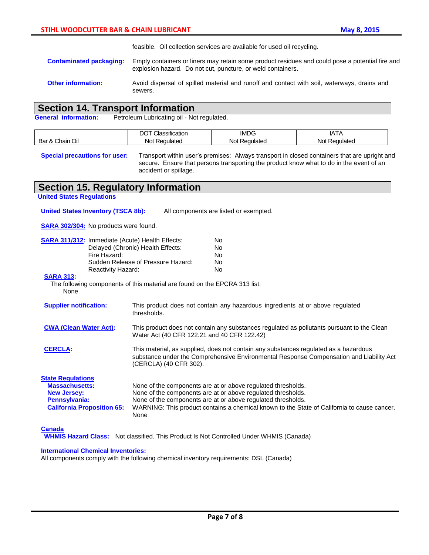feasible. Oil collection services are available for used oil recycling.

- **Contaminated packaging:** Empty containers or liners may retain some product residues and could pose a potential fire and explosion hazard. Do not cut, puncture, or weld containers.
- **Other information:** Avoid dispersal of spilled material and runoff and contact with soil, waterways, drains and sewers.

### **Section 14. Transport Information**

General information: Petroleum Lubricating oil - Not regulated.

|                                                             | $\cdot$<br>$\sim$<br>nn<br>.<br>ssification<br>" | $-$<br>IML       | IA I A                                       |
|-------------------------------------------------------------|--------------------------------------------------|------------------|----------------------------------------------|
| Oil<br>$\overline{\phantom{0}}$<br>Chain<br>Bar<br>$\alpha$ | _<br>equlated<br>Not                             | No'<br>Regulated | No <sup>+</sup><br>---<br>10.12.<br>™ liateu |

**Special precautions for user:** Transport within user's premises: Always transport in closed containers that are upright and secure. Ensure that persons transporting the product know what to do in the event of an accident or spillage.

## **Section 15. Regulatory Information**

| Section 15. Regulatory Information                                                                                                                                                                                          |                                                                                                                                                                                                                                                                                                     |  |
|-----------------------------------------------------------------------------------------------------------------------------------------------------------------------------------------------------------------------------|-----------------------------------------------------------------------------------------------------------------------------------------------------------------------------------------------------------------------------------------------------------------------------------------------------|--|
| <b>Jnited States Regulations</b>                                                                                                                                                                                            |                                                                                                                                                                                                                                                                                                     |  |
| <b>United States Inventory (TSCA 8b):</b>                                                                                                                                                                                   | All components are listed or exempted.                                                                                                                                                                                                                                                              |  |
| <b>SARA 302/304:</b> No products were found.                                                                                                                                                                                |                                                                                                                                                                                                                                                                                                     |  |
| <b>SARA 311/312:</b> Immediate (Acute) Health Effects:<br>Fire Hazard:<br>Reactivity Hazard:<br><b>SARA 313:</b><br>None                                                                                                    | <b>No</b><br>Delayed (Chronic) Health Effects:<br><b>No</b><br><b>No</b><br>Sudden Release of Pressure Hazard:<br><b>No</b><br><b>No</b><br>The following components of this material are found on the EPCRA 313 list:                                                                              |  |
| <b>Supplier notification:</b>                                                                                                                                                                                               | This product does not contain any hazardous ingredients at or above regulated<br>thresholds.                                                                                                                                                                                                        |  |
| <b>CWA (Clean Water Act):</b>                                                                                                                                                                                               | This product does not contain any substances regulated as pollutants pursuant to the Clean<br>Water Act (40 CFR 122.21 and 40 CFR 122.42)                                                                                                                                                           |  |
| This material, as supplied, does not contain any substances regulated as a hazardous<br><b>CERCLA:</b><br>substance under the Comprehensive Environmental Response Compensation and Liability Act<br>(CERCLA) (40 CFR 302). |                                                                                                                                                                                                                                                                                                     |  |
| <b>State Regulations</b><br><b>Massachusetts:</b><br><b>New Jersey:</b><br>Pennsylvania:<br><b>California Proposition 65:</b>                                                                                               | None of the components are at or above regulated thresholds.<br>None of the components are at or above regulated thresholds.<br>None of the components are at or above regulated thresholds.<br>WARNING: This product contains a chemical known to the State of California to cause cancer.<br>None |  |
| <b>Canada</b>                                                                                                                                                                                                               | <b>WHMIS Hazard Class:</b> Not classified. This Product Is Not Controlled Under WHMIS (Canada)                                                                                                                                                                                                      |  |
| <b>International Chemical Inventories:</b>                                                                                                                                                                                  |                                                                                                                                                                                                                                                                                                     |  |

All components comply with the following chemical inventory requirements: DSL (Canada)